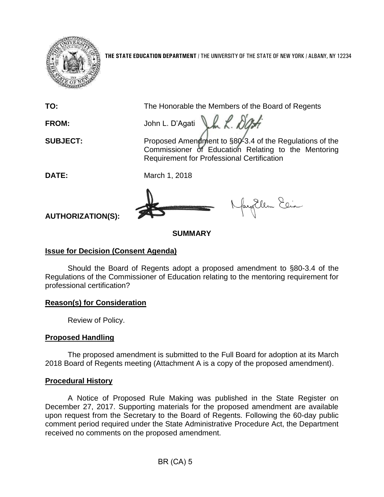

**THE STATE EDUCATION DEPARTMENT** / THE UNIVERSITY OF THE STATE OF NEW YORK / ALBANY, NY 12234

**TO:** The Honorable the Members of the Board of Regents

**FROM:** John L. D'Agati LA L. D

**SUBJECT:** Proposed Amendment to §80-3.4 of the Regulations of the Commissioner of Education Relating to the Mentoring Requirement for Professional Certification

fayillem Elia

**DATE:** March 1, 2018

**AUTHORIZATION(S):**

## **SUMMARY**

# **Issue for Decision (Consent Agenda)**

Should the Board of Regents adopt a proposed amendment to §80-3.4 of the Regulations of the Commissioner of Education relating to the mentoring requirement for professional certification?

## **Reason(s) for Consideration**

Review of Policy.

# **Proposed Handling**

The proposed amendment is submitted to the Full Board for adoption at its March 2018 Board of Regents meeting (Attachment A is a copy of the proposed amendment).

## **Procedural History**

A Notice of Proposed Rule Making was published in the State Register on December 27, 2017. Supporting materials for the proposed amendment are available upon request from the Secretary to the Board of Regents. Following the 60-day public comment period required under the State Administrative Procedure Act, the Department received no comments on the proposed amendment.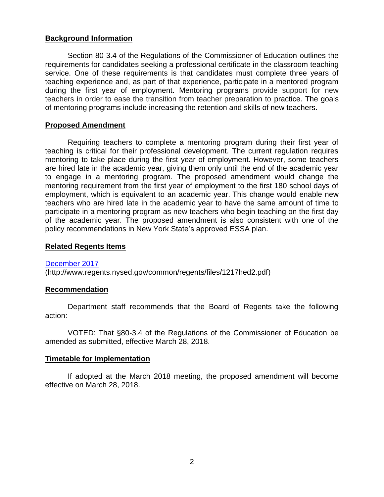### **Background Information**

Section 80-3.4 of the Regulations of the Commissioner of Education outlines the requirements for candidates seeking a professional certificate in the classroom teaching service. One of these requirements is that candidates must complete three years of teaching experience and, as part of that experience, participate in a mentored program during the first year of employment. Mentoring programs provide support for new teachers in order to ease the transition from teacher preparation to practice. The goals of mentoring programs include increasing the retention and skills of new teachers.

#### **Proposed Amendment**

Requiring teachers to complete a mentoring program during their first year of teaching is critical for their professional development. The current regulation requires mentoring to take place during the first year of employment. However, some teachers are hired late in the academic year, giving them only until the end of the academic year to engage in a mentoring program. The proposed amendment would change the mentoring requirement from the first year of employment to the first 180 school days of employment, which is equivalent to an academic year. This change would enable new teachers who are hired late in the academic year to have the same amount of time to participate in a mentoring program as new teachers who begin teaching on the first day of the academic year. The proposed amendment is also consistent with one of the policy recommendations in New York State's approved ESSA plan.

### **Related Regents Items**

#### [December 2017](http://www.regents.nysed.gov/common/regents/files/1217hed2.pdf)

(http://www.regents.nysed.gov/common/regents/files/1217hed2.pdf)

#### **Recommendation**

Department staff recommends that the Board of Regents take the following action:

VOTED: That §80-3.4 of the Regulations of the Commissioner of Education be amended as submitted, effective March 28, 2018.

#### **Timetable for Implementation**

If adopted at the March 2018 meeting, the proposed amendment will become effective on March 28, 2018.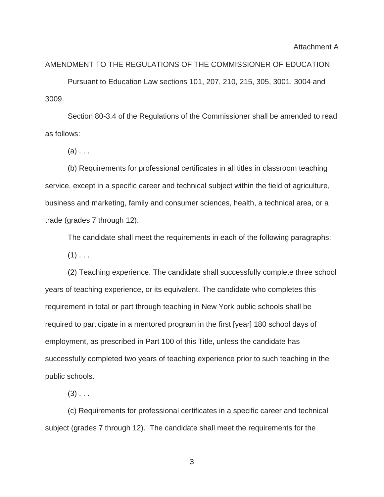#### AMENDMENT TO THE REGULATIONS OF THE COMMISSIONER OF EDUCATION

Pursuant to Education Law sections 101, 207, 210, 215, 305, 3001, 3004 and 3009.

Section 80-3.4 of the Regulations of the Commissioner shall be amended to read as follows:

 $(a)$ ...

(b) Requirements for professional certificates in all titles in classroom teaching service, except in a specific career and technical subject within the field of agriculture, business and marketing, family and consumer sciences, health, a technical area, or a trade (grades 7 through 12).

The candidate shall meet the requirements in each of the following paragraphs:

 $(1)$  . . .

(2) Teaching experience. The candidate shall successfully complete three school years of teaching experience, or its equivalent. The candidate who completes this requirement in total or part through teaching in New York public schools shall be required to participate in a mentored program in the first [year] 180 school days of employment, as prescribed in Part 100 of this Title, unless the candidate has successfully completed two years of teaching experience prior to such teaching in the public schools.

 $(3)$  . . .

(c) Requirements for professional certificates in a specific career and technical subject (grades 7 through 12). The candidate shall meet the requirements for the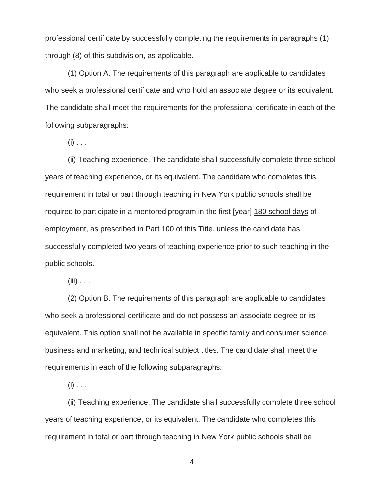professional certificate by successfully completing the requirements in paragraphs (1) through (8) of this subdivision, as applicable.

(1) Option A. The requirements of this paragraph are applicable to candidates who seek a professional certificate and who hold an associate degree or its equivalent. The candidate shall meet the requirements for the professional certificate in each of the following subparagraphs:

 $(i)$  . . .

(ii) Teaching experience. The candidate shall successfully complete three school years of teaching experience, or its equivalent. The candidate who completes this requirement in total or part through teaching in New York public schools shall be required to participate in a mentored program in the first [year] 180 school days of employment, as prescribed in Part 100 of this Title, unless the candidate has successfully completed two years of teaching experience prior to such teaching in the public schools.

 $(iii)$  . . .

(2) Option B. The requirements of this paragraph are applicable to candidates who seek a professional certificate and do not possess an associate degree or its equivalent. This option shall not be available in specific family and consumer science, business and marketing, and technical subject titles. The candidate shall meet the requirements in each of the following subparagraphs:

 $(i)$  . . .

(ii) Teaching experience. The candidate shall successfully complete three school years of teaching experience, or its equivalent. The candidate who completes this requirement in total or part through teaching in New York public schools shall be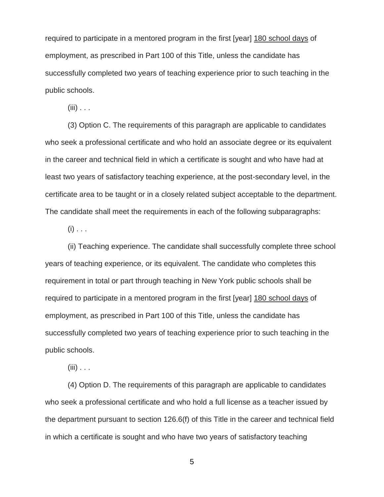required to participate in a mentored program in the first [year] 180 school days of employment, as prescribed in Part 100 of this Title, unless the candidate has successfully completed two years of teaching experience prior to such teaching in the public schools.

 $(iii)$  . . .

(3) Option C. The requirements of this paragraph are applicable to candidates who seek a professional certificate and who hold an associate degree or its equivalent in the career and technical field in which a certificate is sought and who have had at least two years of satisfactory teaching experience, at the post-secondary level, in the certificate area to be taught or in a closely related subject acceptable to the department. The candidate shall meet the requirements in each of the following subparagraphs:

 $(i)$  . . .

(ii) Teaching experience. The candidate shall successfully complete three school years of teaching experience, or its equivalent. The candidate who completes this requirement in total or part through teaching in New York public schools shall be required to participate in a mentored program in the first [year] 180 school days of employment, as prescribed in Part 100 of this Title, unless the candidate has successfully completed two years of teaching experience prior to such teaching in the public schools.

 $(iii)$  . . .

(4) Option D. The requirements of this paragraph are applicable to candidates who seek a professional certificate and who hold a full license as a teacher issued by the department pursuant to section 126.6(f) of this Title in the career and technical field in which a certificate is sought and who have two years of satisfactory teaching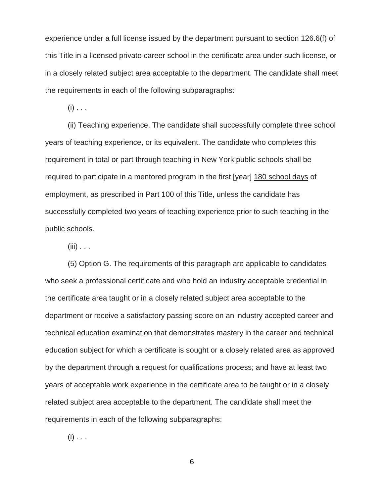experience under a full license issued by the department pursuant to section 126.6(f) of this Title in a licensed private career school in the certificate area under such license, or in a closely related subject area acceptable to the department. The candidate shall meet the requirements in each of the following subparagraphs:

 $(i)$  . . .

(ii) Teaching experience. The candidate shall successfully complete three school years of teaching experience, or its equivalent. The candidate who completes this requirement in total or part through teaching in New York public schools shall be required to participate in a mentored program in the first [year] 180 school days of employment, as prescribed in Part 100 of this Title, unless the candidate has successfully completed two years of teaching experience prior to such teaching in the public schools.

 $(iii)$  . . .

(5) Option G. The requirements of this paragraph are applicable to candidates who seek a professional certificate and who hold an industry acceptable credential in the certificate area taught or in a closely related subject area acceptable to the department or receive a satisfactory passing score on an industry accepted career and technical education examination that demonstrates mastery in the career and technical education subject for which a certificate is sought or a closely related area as approved by the department through a request for qualifications process; and have at least two years of acceptable work experience in the certificate area to be taught or in a closely related subject area acceptable to the department. The candidate shall meet the requirements in each of the following subparagraphs:

 $(i)$  . . .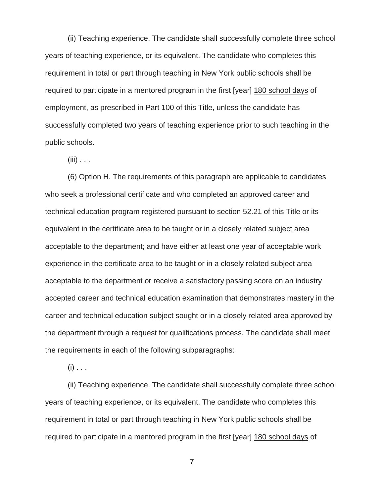(ii) Teaching experience. The candidate shall successfully complete three school years of teaching experience, or its equivalent. The candidate who completes this requirement in total or part through teaching in New York public schools shall be required to participate in a mentored program in the first [year] 180 school days of employment, as prescribed in Part 100 of this Title, unless the candidate has successfully completed two years of teaching experience prior to such teaching in the public schools.

 $(iii)$  . . .

(6) Option H. The requirements of this paragraph are applicable to candidates who seek a professional certificate and who completed an approved career and technical education program registered pursuant to section 52.21 of this Title or its equivalent in the certificate area to be taught or in a closely related subject area acceptable to the department; and have either at least one year of acceptable work experience in the certificate area to be taught or in a closely related subject area acceptable to the department or receive a satisfactory passing score on an industry accepted career and technical education examination that demonstrates mastery in the career and technical education subject sought or in a closely related area approved by the department through a request for qualifications process. The candidate shall meet the requirements in each of the following subparagraphs:

 $(i)$  . . .

(ii) Teaching experience. The candidate shall successfully complete three school years of teaching experience, or its equivalent. The candidate who completes this requirement in total or part through teaching in New York public schools shall be required to participate in a mentored program in the first [year] 180 school days of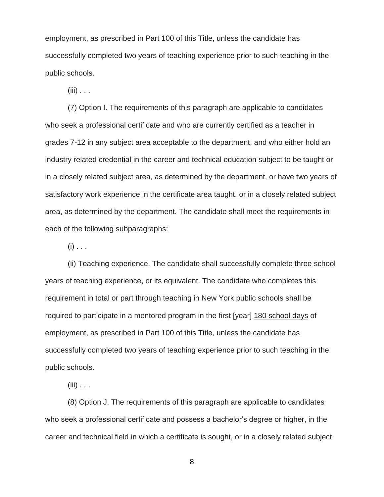employment, as prescribed in Part 100 of this Title, unless the candidate has successfully completed two years of teaching experience prior to such teaching in the public schools.

 $(iii)$  . . .

(7) Option I. The requirements of this paragraph are applicable to candidates who seek a professional certificate and who are currently certified as a teacher in grades 7-12 in any subject area acceptable to the department, and who either hold an industry related credential in the career and technical education subject to be taught or in a closely related subject area, as determined by the department, or have two years of satisfactory work experience in the certificate area taught, or in a closely related subject area, as determined by the department. The candidate shall meet the requirements in each of the following subparagraphs:

 $(i)$  . . .

(ii) Teaching experience. The candidate shall successfully complete three school years of teaching experience, or its equivalent. The candidate who completes this requirement in total or part through teaching in New York public schools shall be required to participate in a mentored program in the first [year] 180 school days of employment, as prescribed in Part 100 of this Title, unless the candidate has successfully completed two years of teaching experience prior to such teaching in the public schools.

 $(iii)$  . . .

(8) Option J. The requirements of this paragraph are applicable to candidates who seek a professional certificate and possess a bachelor's degree or higher, in the career and technical field in which a certificate is sought, or in a closely related subject